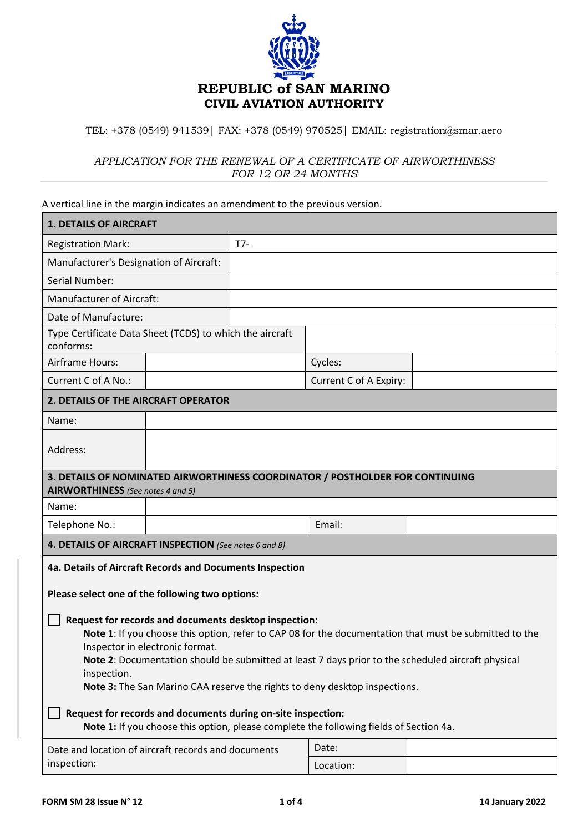

## TEL: +378 (0549) 941539| FAX: +378 (0549) 970525| EMAIL: registration@smar.aero

## *APPLICATION FOR THE RENEWAL OF A CERTIFICATE OF AIRWORTHINESS FOR 12 OR 24 MONTHS*

A vertical line in the margin indicates an amendment to the previous version.

| <b>1. DETAILS OF AIRCRAFT</b>                                                                                                                                                                                                                                                                                                                                                                                                                                                                                                                                                                                                                                                  |  |       |                        |  |  |  |
|--------------------------------------------------------------------------------------------------------------------------------------------------------------------------------------------------------------------------------------------------------------------------------------------------------------------------------------------------------------------------------------------------------------------------------------------------------------------------------------------------------------------------------------------------------------------------------------------------------------------------------------------------------------------------------|--|-------|------------------------|--|--|--|
| <b>Registration Mark:</b>                                                                                                                                                                                                                                                                                                                                                                                                                                                                                                                                                                                                                                                      |  | $T7-$ |                        |  |  |  |
| Manufacturer's Designation of Aircraft:                                                                                                                                                                                                                                                                                                                                                                                                                                                                                                                                                                                                                                        |  |       |                        |  |  |  |
| Serial Number:                                                                                                                                                                                                                                                                                                                                                                                                                                                                                                                                                                                                                                                                 |  |       |                        |  |  |  |
| <b>Manufacturer of Aircraft:</b>                                                                                                                                                                                                                                                                                                                                                                                                                                                                                                                                                                                                                                               |  |       |                        |  |  |  |
| Date of Manufacture:                                                                                                                                                                                                                                                                                                                                                                                                                                                                                                                                                                                                                                                           |  |       |                        |  |  |  |
| Type Certificate Data Sheet (TCDS) to which the aircraft<br>conforms:                                                                                                                                                                                                                                                                                                                                                                                                                                                                                                                                                                                                          |  |       |                        |  |  |  |
| Airframe Hours:                                                                                                                                                                                                                                                                                                                                                                                                                                                                                                                                                                                                                                                                |  |       | Cycles:                |  |  |  |
| Current C of A No.:                                                                                                                                                                                                                                                                                                                                                                                                                                                                                                                                                                                                                                                            |  |       | Current C of A Expiry: |  |  |  |
| 2. DETAILS OF THE AIRCRAFT OPERATOR                                                                                                                                                                                                                                                                                                                                                                                                                                                                                                                                                                                                                                            |  |       |                        |  |  |  |
| Name:                                                                                                                                                                                                                                                                                                                                                                                                                                                                                                                                                                                                                                                                          |  |       |                        |  |  |  |
| Address:                                                                                                                                                                                                                                                                                                                                                                                                                                                                                                                                                                                                                                                                       |  |       |                        |  |  |  |
| 3. DETAILS OF NOMINATED AIRWORTHINESS COORDINATOR / POSTHOLDER FOR CONTINUING<br>AIRWORTHINESS (See notes 4 and 5)                                                                                                                                                                                                                                                                                                                                                                                                                                                                                                                                                             |  |       |                        |  |  |  |
| Name:                                                                                                                                                                                                                                                                                                                                                                                                                                                                                                                                                                                                                                                                          |  |       |                        |  |  |  |
| Telephone No.:                                                                                                                                                                                                                                                                                                                                                                                                                                                                                                                                                                                                                                                                 |  |       | Email:                 |  |  |  |
| 4. DETAILS OF AIRCRAFT INSPECTION (See notes 6 and 8)                                                                                                                                                                                                                                                                                                                                                                                                                                                                                                                                                                                                                          |  |       |                        |  |  |  |
| 4a. Details of Aircraft Records and Documents Inspection<br>Please select one of the following two options:<br>Request for records and documents desktop inspection:<br>Note 1: If you choose this option, refer to CAP 08 for the documentation that must be submitted to the<br>Inspector in electronic format.<br>Note 2: Documentation should be submitted at least 7 days prior to the scheduled aircraft physical<br>inspection.<br>Note 3: The San Marino CAA reserve the rights to deny desktop inspections.<br>Request for records and documents during on-site inspection:<br>Note 1: If you choose this option, please complete the following fields of Section 4a. |  |       |                        |  |  |  |
| Date and location of aircraft records and documents<br>inspection:                                                                                                                                                                                                                                                                                                                                                                                                                                                                                                                                                                                                             |  |       | Date:<br>Location:     |  |  |  |

Location: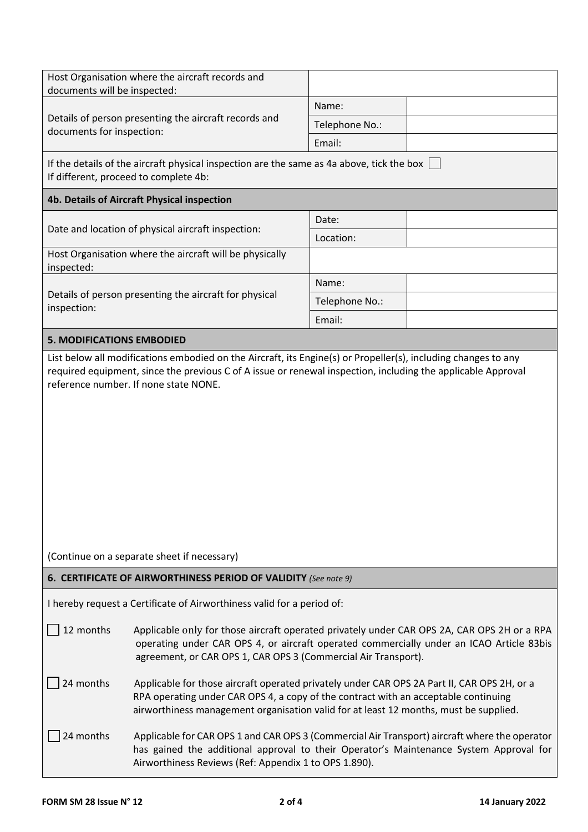| Host Organisation where the aircraft records and<br>documents will be inspected:                                                   |                                                                                                                                                                                                                                                                             |                |  |  |  |  |  |
|------------------------------------------------------------------------------------------------------------------------------------|-----------------------------------------------------------------------------------------------------------------------------------------------------------------------------------------------------------------------------------------------------------------------------|----------------|--|--|--|--|--|
|                                                                                                                                    |                                                                                                                                                                                                                                                                             | Name:          |  |  |  |  |  |
| documents for inspection:                                                                                                          | Details of person presenting the aircraft records and                                                                                                                                                                                                                       | Telephone No.: |  |  |  |  |  |
|                                                                                                                                    |                                                                                                                                                                                                                                                                             | Email:         |  |  |  |  |  |
| If the details of the aircraft physical inspection are the same as 4a above, tick the box<br>If different, proceed to complete 4b: |                                                                                                                                                                                                                                                                             |                |  |  |  |  |  |
|                                                                                                                                    | 4b. Details of Aircraft Physical inspection                                                                                                                                                                                                                                 |                |  |  |  |  |  |
|                                                                                                                                    | Date and location of physical aircraft inspection:                                                                                                                                                                                                                          | Date:          |  |  |  |  |  |
|                                                                                                                                    |                                                                                                                                                                                                                                                                             | Location:      |  |  |  |  |  |
| inspected:                                                                                                                         | Host Organisation where the aircraft will be physically                                                                                                                                                                                                                     |                |  |  |  |  |  |
|                                                                                                                                    | Details of person presenting the aircraft for physical                                                                                                                                                                                                                      | Name:          |  |  |  |  |  |
| inspection:                                                                                                                        |                                                                                                                                                                                                                                                                             | Telephone No.: |  |  |  |  |  |
|                                                                                                                                    |                                                                                                                                                                                                                                                                             | Email:         |  |  |  |  |  |
| <b>5. MODIFICATIONS EMBODIED</b>                                                                                                   |                                                                                                                                                                                                                                                                             |                |  |  |  |  |  |
|                                                                                                                                    | (Continue on a separate sheet if necessary)                                                                                                                                                                                                                                 |                |  |  |  |  |  |
|                                                                                                                                    | 6. CERTIFICATE OF AIRWORTHINESS PERIOD OF VALIDITY (See note 9)                                                                                                                                                                                                             |                |  |  |  |  |  |
|                                                                                                                                    | I hereby request a Certificate of Airworthiness valid for a period of:                                                                                                                                                                                                      |                |  |  |  |  |  |
| 12 months                                                                                                                          | Applicable only for those aircraft operated privately under CAR OPS 2A, CAR OPS 2H or a RPA<br>operating under CAR OPS 4, or aircraft operated commercially under an ICAO Article 83bis<br>agreement, or CAR OPS 1, CAR OPS 3 (Commercial Air Transport).                   |                |  |  |  |  |  |
| 24 months                                                                                                                          | Applicable for those aircraft operated privately under CAR OPS 2A Part II, CAR OPS 2H, or a<br>RPA operating under CAR OPS 4, a copy of the contract with an acceptable continuing<br>airworthiness management organisation valid for at least 12 months, must be supplied. |                |  |  |  |  |  |
| 24 months                                                                                                                          | Applicable for CAR OPS 1 and CAR OPS 3 (Commercial Air Transport) aircraft where the operator<br>has gained the additional approval to their Operator's Maintenance System Approval for<br>Airworthiness Reviews (Ref: Appendix 1 to OPS 1.890).                            |                |  |  |  |  |  |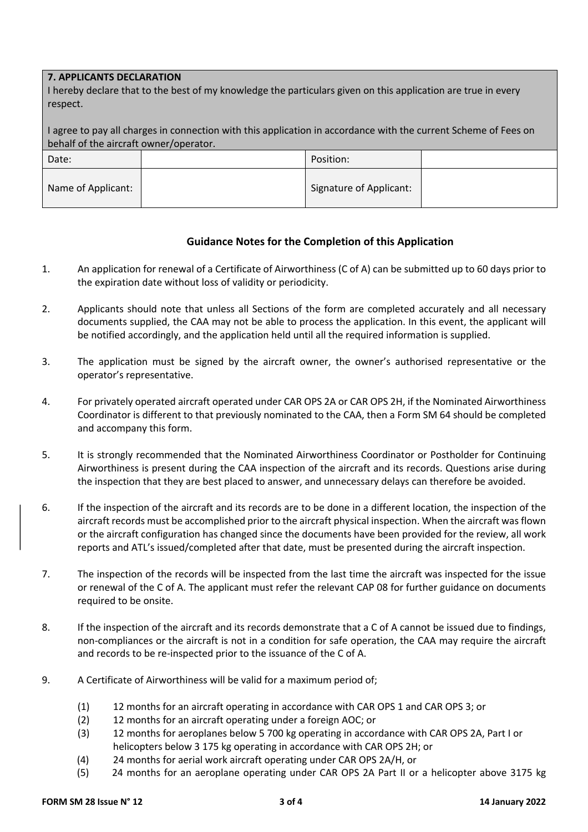## **7. APPLICANTS DECLARATION**

I hereby declare that to the best of my knowledge the particulars given on this application are true in every respect.

I agree to pay all charges in connection with this application in accordance with the current Scheme of Fees on behalf of the aircraft owner/operator.

| Date:              | Position:                      |  |
|--------------------|--------------------------------|--|
| Name of Applicant: | <b>Signature of Applicant:</b> |  |

## **Guidance Notes for the Completion of this Application**

- 1. An application for renewal of a Certificate of Airworthiness (C of A) can be submitted up to 60 days prior to the expiration date without loss of validity or periodicity.
- 2. Applicants should note that unless all Sections of the form are completed accurately and all necessary documents supplied, the CAA may not be able to process the application. In this event, the applicant will be notified accordingly, and the application held until all the required information is supplied.
- 3. The application must be signed by the aircraft owner, the owner's authorised representative or the operator's representative.
- 4. For privately operated aircraft operated under CAR OPS 2A or CAR OPS 2H, if the Nominated Airworthiness Coordinator is different to that previously nominated to the CAA, then a Form SM 64 should be completed and accompany this form.
- 5. It is strongly recommended that the Nominated Airworthiness Coordinator or Postholder for Continuing Airworthiness is present during the CAA inspection of the aircraft and its records. Questions arise during the inspection that they are best placed to answer, and unnecessary delays can therefore be avoided.
- 6. If the inspection of the aircraft and its records are to be done in a different location, the inspection of the aircraft records must be accomplished prior to the aircraft physical inspection. When the aircraft was flown or the aircraft configuration has changed since the documents have been provided for the review, all work reports and ATL's issued/completed after that date, must be presented during the aircraft inspection.
- 7. The inspection of the records will be inspected from the last time the aircraft was inspected for the issue or renewal of the C of A. The applicant must refer the relevant CAP 08 for further guidance on documents required to be onsite.
- 8. If the inspection of the aircraft and its records demonstrate that a C of A cannot be issued due to findings, non-compliances or the aircraft is not in a condition for safe operation, the CAA may require the aircraft and records to be re-inspected prior to the issuance of the C of A.
- 9. A Certificate of Airworthiness will be valid for a maximum period of;
	- (1) 12 months for an aircraft operating in accordance with CAR OPS 1 and CAR OPS 3; or
	- (2) 12 months for an aircraft operating under a foreign AOC; or
	- (3) 12 months for aeroplanes below 5 700 kg operating in accordance with CAR OPS 2A, Part I or helicopters below 3 175 kg operating in accordance with CAR OPS 2H; or
	- (4) 24 months for aerial work aircraft operating under CAR OPS 2A/H, or
	- (5) 24 months for an aeroplane operating under CAR OPS 2A Part II or a helicopter above 3175 kg